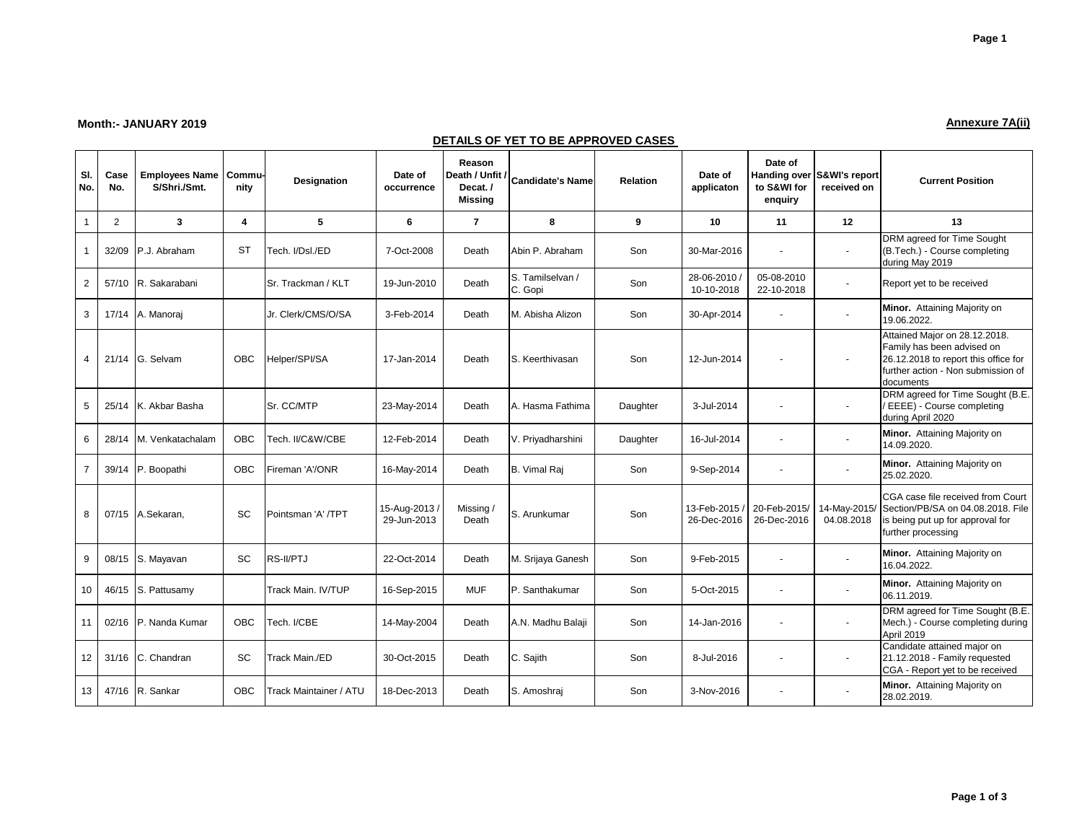## **Month:- JANUARY 2019 Annexure 7A(ii)**

## **DETAILS OF YET TO BE APPROVED CASES**

| SI.<br>No.     | Case<br>No.    | <b>Employees Name</b><br>S/Shri./Smt. | Commu-<br>nity          | <b>Designation</b>     | Date of<br>occurrence      | Reason<br>Death / Unfit /<br>Decat.<br><b>Missing</b> | <b>Candidate's Name</b>     | <b>Relation</b> | Date of<br>applicaton      | Date of<br>to S&WI for<br>enquiry | Handing over S&WI's report<br>received on | <b>Current Position</b>                                                                                                                                |
|----------------|----------------|---------------------------------------|-------------------------|------------------------|----------------------------|-------------------------------------------------------|-----------------------------|-----------------|----------------------------|-----------------------------------|-------------------------------------------|--------------------------------------------------------------------------------------------------------------------------------------------------------|
| $\mathbf{1}$   | $\overline{2}$ | 3                                     | $\overline{\mathbf{A}}$ | 5                      | 6                          | $\overline{7}$                                        | 8                           | 9               | 10                         | 11                                | 12                                        | 13                                                                                                                                                     |
| $\mathbf{1}$   | 32/09          | P.J. Abraham                          | <b>ST</b>               | Tech. I/Dsl./ED        | 7-Oct-2008                 | Death                                                 | Abin P. Abraham             | Son             | 30-Mar-2016                |                                   |                                           | DRM agreed for Time Sought<br>(B.Tech.) - Course completing<br>during May 2019                                                                         |
| $\overline{2}$ | 57/10          | R. Sakarabani                         |                         | Sr. Trackman / KLT     | 19-Jun-2010                | Death                                                 | S. Tamilselvan /<br>C. Gopi | Son             | 28-06-2010 /<br>10-10-2018 | 05-08-2010<br>22-10-2018          |                                           | Report yet to be received                                                                                                                              |
| 3              | 17/14          | A. Manoraj                            |                         | Jr. Clerk/CMS/O/SA     | 3-Feb-2014                 | Death                                                 | M. Abisha Alizon            | Son             | 30-Apr-2014                |                                   |                                           | Minor. Attaining Majority on<br>19.06.2022.                                                                                                            |
| $\overline{4}$ | 21/14          | G. Selvam                             | OBC                     | Helper/SPI/SA          | 17-Jan-2014                | Death                                                 | S. Keerthivasan             | Son             | 12-Jun-2014                |                                   |                                           | Attained Major on 28.12.2018.<br>Family has been advised on<br>26.12.2018 to report this office for<br>further action - Non submission of<br>documents |
| 5              | 25/14          | K. Akbar Basha                        |                         | Sr. CC/MTP             | 23-May-2014                | Death                                                 | A. Hasma Fathima            | Daughter        | 3-Jul-2014                 |                                   |                                           | DRM agreed for Time Sought (B.E.<br>/ EEEE) - Course completing<br>during April 2020                                                                   |
| 6              | 28/14          | M. Venkatachalam                      | <b>OBC</b>              | Tech. II/C&W/CBE       | 12-Feb-2014                | Death                                                 | V. Priyadharshini           | Daughter        | 16-Jul-2014                |                                   |                                           | Minor. Attaining Majority on<br>14.09.2020.                                                                                                            |
| $\overline{7}$ | 39/14          | P. Boopathi                           | <b>OBC</b>              | Fireman 'A'/ONR        | 16-May-2014                | Death                                                 | B. Vimal Raj                | Son             | 9-Sep-2014                 |                                   |                                           | Minor. Attaining Majority on<br>25.02.2020.                                                                                                            |
| 8              | 07/15          | A.Sekaran.                            | SC                      | Pointsman 'A' /TPT     | 15-Aug-2013<br>29-Jun-2013 | Missing/<br>Death                                     | S. Arunkumar                | Son             | 13-Feb-2015<br>26-Dec-2016 | 20-Feb-2015/<br>26-Dec-2016       | 14-May-2015/<br>04.08.2018                | CGA case file received from Court<br>Section/PB/SA on 04.08.2018. File<br>is being put up for approval for<br>further processing                       |
| 9              | 08/15          | S. Mayavan                            | SC                      | RS-II/PTJ              | 22-Oct-2014                | Death                                                 | M. Srijaya Ganesh           | Son             | 9-Feb-2015                 |                                   |                                           | Minor. Attaining Majority on<br>16.04.2022.                                                                                                            |
| 10             | 46/15          | S. Pattusamy                          |                         | Track Main. IV/TUP     | 16-Sep-2015                | <b>MUF</b>                                            | P. Santhakumar              | Son             | 5-Oct-2015                 | $\blacksquare$                    | $\sim$                                    | Minor. Attaining Majority on<br>06.11.2019.                                                                                                            |
| 11             | 02/16          | P. Nanda Kumar                        | <b>OBC</b>              | Tech. I/CBE            | 14-May-2004                | Death                                                 | A.N. Madhu Balaji           | Son             | 14-Jan-2016                |                                   |                                           | DRM agreed for Time Sought (B.E.<br>Mech.) - Course completing during<br>April 2019                                                                    |
| 12             | 31/16          | C. Chandran                           | SC                      | Track Main./ED         | 30-Oct-2015                | Death                                                 | C. Sajith                   | Son             | 8-Jul-2016                 |                                   |                                           | Candidate attained major on<br>21.12.2018 - Family requested<br>CGA - Report yet to be received                                                        |
| 13             | 47/16          | R. Sankar                             | <b>OBC</b>              | Track Maintainer / ATU | 18-Dec-2013                | Death                                                 | S. Amoshraj                 | Son             | 3-Nov-2016                 |                                   |                                           | Minor. Attaining Majority on<br>28.02.2019.                                                                                                            |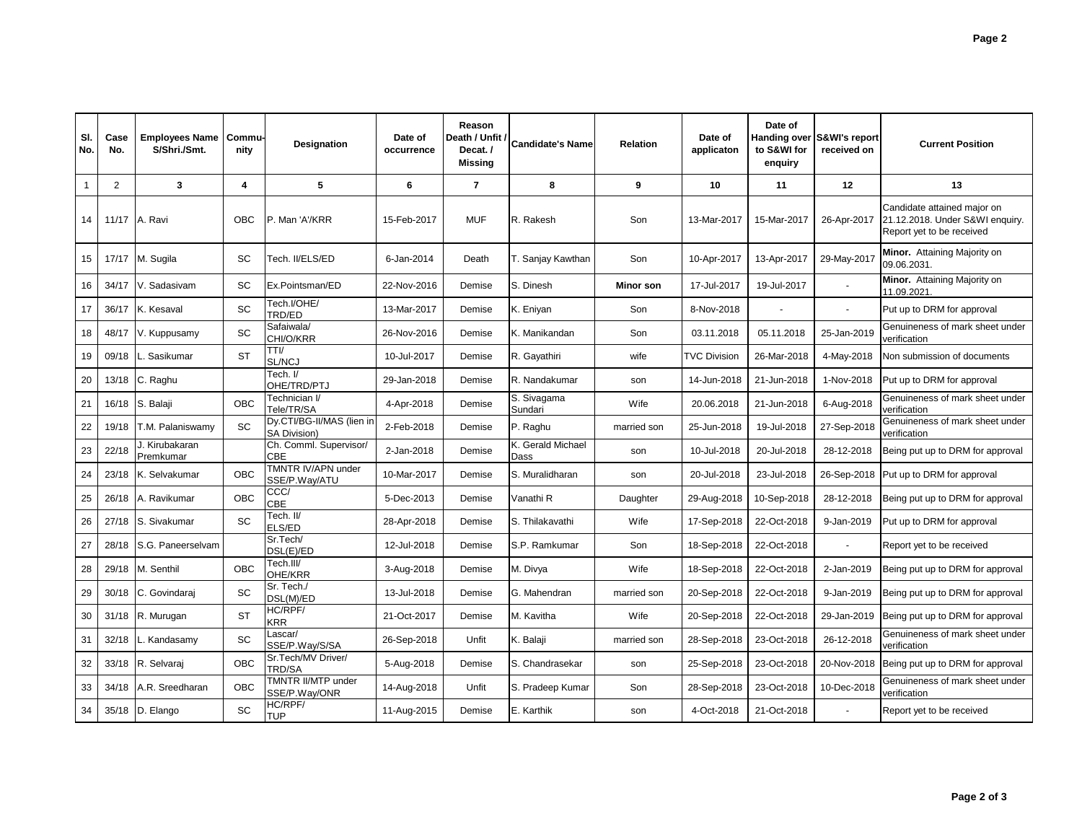| SI.<br>No. | Case<br>No.    | <b>Employees Name</b><br>S/Shri./Smt. | Commu-<br>nity | Designation                                      | Date of<br>occurrence | Reason<br>Death / Unfit /<br>Decat./<br>Missing | <b>Candidate's Name</b>   | <b>Relation</b> | Date of<br>applicaton | Date of<br>to S&WI for<br>enquiry | Handing over S&WI's report<br>received on | <b>Current Position</b>                                                                     |
|------------|----------------|---------------------------------------|----------------|--------------------------------------------------|-----------------------|-------------------------------------------------|---------------------------|-----------------|-----------------------|-----------------------------------|-------------------------------------------|---------------------------------------------------------------------------------------------|
|            | $\overline{2}$ | 3                                     | 4              | 5                                                | 6                     | $\overline{7}$                                  | 8                         | 9               | 10                    | 11                                | 12                                        | 13                                                                                          |
| 14         | 11/17          | A. Ravi                               | OBC            | P. Man 'A'/KRR                                   | 15-Feb-2017           | <b>MUF</b>                                      | R. Rakesh                 | Son             | 13-Mar-2017           | 15-Mar-2017                       | 26-Apr-2017                               | Candidate attained major on<br>21.12.2018. Under S&WI enquiry.<br>Report yet to be received |
| 15         | 17/17          | M. Sugila                             | SC             | Tech. II/ELS/ED                                  | 6-Jan-2014            | Death                                           | T. Sanjay Kawthan         | Son             | 10-Apr-2017           | 13-Apr-2017                       | 29-May-2017                               | Minor. Attaining Majority on<br>09.06.2031.                                                 |
| 16         | 34/17          | V. Sadasivam                          | SC             | Ex.Pointsman/ED                                  | 22-Nov-2016           | Demise                                          | S. Dinesh                 | Minor son       | 17-Jul-2017           | 19-Jul-2017                       |                                           | Minor. Attaining Majority on<br>11.09.2021.                                                 |
| 17         | 36/17          | K. Kesaval                            | SC             | Tech.I/OHE/<br>TRD/ED                            | 13-Mar-2017           | Demise                                          | K. Eniyan                 | Son             | 8-Nov-2018            | L,                                |                                           | Put up to DRM for approval                                                                  |
| 18         | 48/17          | V. Kuppusamy                          | SC             | Safaiwala/<br>CHI/O/KRR                          | 26-Nov-2016           | Demise                                          | K. Manikandan             | Son             | 03.11.2018            | 05.11.2018                        | 25-Jan-2019                               | Genuineness of mark sheet under<br>verification                                             |
| 19         | 09/18          | Sasikumar                             | <b>ST</b>      | TTI/<br>SL/NCJ                                   | 10-Jul-2017           | Demise                                          | R. Gayathiri              | wife            | <b>TVC Division</b>   | 26-Mar-2018                       | 4-May-2018                                | Non submission of documents                                                                 |
| 20         | 13/18          | C. Raghu                              |                | Tech. I/<br>OHE/TRD/PTJ                          | 29-Jan-2018           | Demise                                          | R. Nandakumar             | son             | 14-Jun-2018           | 21-Jun-2018                       | 1-Nov-2018                                | Put up to DRM for approval                                                                  |
| 21         | 16/18          | S. Balaji                             | OBC            | Technician I/<br>Tele/TR/SA                      | 4-Apr-2018            | Demise                                          | S. Sivagama<br>Sundari    | Wife            | 20.06.2018            | 21-Jun-2018                       | 6-Aug-2018                                | Genuineness of mark sheet under<br>verification                                             |
| 22         | 19/18          | T.M. Palaniswamv                      | SC             | Dy.CTI/BG-II/MAS (lien in<br><b>SA Division)</b> | 2-Feb-2018            | Demise                                          | P. Raghu                  | married son     | 25-Jun-2018           | 19-Jul-2018                       | 27-Sep-2018                               | Genuineness of mark sheet under<br>verification                                             |
| 23         | 22/18          | J. Kirubakaran<br>Premkumar           |                | Ch. Comml. Supervisor/<br>CBE                    | 2-Jan-2018            | Demise                                          | K. Gerald Michael<br>Dass | son             | 10-Jul-2018           | 20-Jul-2018                       | 28-12-2018                                | Being put up to DRM for approval                                                            |
| 24         | 23/18          | K. Selvakumar                         | OBC            | TMNTR IV/APN under<br>SSE/P.Way/ATU              | 10-Mar-2017           | Demise                                          | S. Muralidharan           | son             | 20-Jul-2018           | 23-Jul-2018                       |                                           | 26-Sep-2018 Put up to DRM for approval                                                      |
| 25         | 26/18          | A. Ravikumar                          | OBC            | CCC/<br><b>CBE</b>                               | 5-Dec-2013            | Demise                                          | Vanathi R                 | Daughter        | 29-Aug-2018           | 10-Sep-2018                       | 28-12-2018                                | Being put up to DRM for approval                                                            |
| 26         | 27/18          | S. Sivakumar                          | SC             | Tech. II/<br>ELS/ED                              | 28-Apr-2018           | Demise                                          | S. Thilakavathi           | Wife            | 17-Sep-2018           | 22-Oct-2018                       | 9-Jan-2019                                | Put up to DRM for approval                                                                  |
| 27         | 28/18          | S.G. Paneerselvam                     |                | Sr.Tech/<br>DSL(E)/ED                            | 12-Jul-2018           | Demise                                          | S.P. Ramkumar             | Son             | 18-Sep-2018           | 22-Oct-2018                       |                                           | Report yet to be received                                                                   |
| 28         | 29/18          | M. Senthil                            | OBC            | Tech.III/<br>OHE/KRR                             | 3-Aug-2018            | Demise                                          | M. Divya                  | Wife            | 18-Sep-2018           | 22-Oct-2018                       | 2-Jan-2019                                | Being put up to DRM for approval                                                            |
| 29         | 30/18          | C. Govindaraj                         | SC             | Sr. Tech./<br>DSL(M)/ED                          | 13-Jul-2018           | Demise                                          | G. Mahendran              | married son     | 20-Sep-2018           | 22-Oct-2018                       | 9-Jan-2019                                | Being put up to DRM for approval                                                            |
| 30         | 31/18          | R. Murugan                            | <b>ST</b>      | HC/RPF/<br><b>KRR</b>                            | 21-Oct-2017           | Demise                                          | M. Kavitha                | Wife            | 20-Sep-2018           | 22-Oct-2018                       | 29-Jan-2019                               | Being put up to DRM for approval                                                            |
| 31         | 32/18          | Kandasamy                             | SC             | Lascar/<br>SSE/P.Way/S/SA                        | 26-Sep-2018           | Unfit                                           | K. Balaji                 | married son     | 28-Sep-2018           | 23-Oct-2018                       | 26-12-2018                                | Genuineness of mark sheet under<br>verification                                             |
| 32         | 33/18          | R. Selvaraj                           | OBC            | Sr.Tech/MV Driver/<br>TRD/SA                     | 5-Aug-2018            | Demise                                          | S. Chandrasekar           | son             | 25-Sep-2018           | 23-Oct-2018                       | 20-Nov-2018                               | Being put up to DRM for approval                                                            |
| 33         | 34/18          | A.R. Sreedharan                       | OBC            | TMNTR II/MTP under<br>SSE/P.Way/ONR              | 14-Aug-2018           | Unfit                                           | S. Pradeep Kumar          | Son             | 28-Sep-2018           | 23-Oct-2018                       | 10-Dec-2018                               | Genuineness of mark sheet under<br>verification                                             |
| 34         |                | 35/18 D. Elango                       | SC             | HC/RPF/<br>TUP                                   | 11-Aug-2015           | Demise                                          | E. Karthik                | son             | 4-Oct-2018            | 21-Oct-2018                       |                                           | Report yet to be received                                                                   |